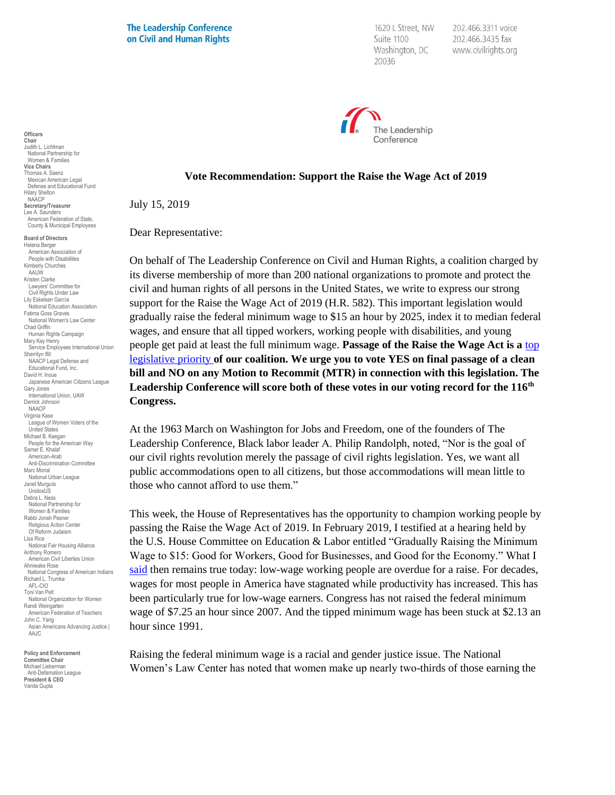**The Leadership Conference** on Civil and Human Rights

1620 L Street, NW Suite 1100 Washington, DC 20036

202.466.3311 voice 202.466.3435 fax www.civilrights.org



## **Vote Recommendation: Support the Raise the Wage Act of 2019**

July 15, 2019

Dear Representative:

On behalf of The Leadership Conference on Civil and Human Rights, a coalition charged by its diverse membership of more than 200 national organizations to promote and protect the civil and human rights of all persons in the United States, we write to express our strong support for the Raise the Wage Act of 2019 (H.R. 582). This important legislation would gradually raise the federal minimum wage to \$15 an hour by 2025, index it to median federal wages, and ensure that all tipped workers, working people with disabilities, and young people get paid at least the full minimum wage. **Passage of the Raise the Wage Act is a** [top](http://civilrightsdocs.info/pdf/policy/task-force-priorities/2019-Leadership-Conference-Legislative-priorities-FINAL.pdf)  [legislative priority](http://civilrightsdocs.info/pdf/policy/task-force-priorities/2019-Leadership-Conference-Legislative-priorities-FINAL.pdf) **of our coalition. We urge you to vote YES on final passage of a clean bill and NO on any Motion to Recommit (MTR) in connection with this legislation. The Leadership Conference will score both of these votes in our voting record for the 116th Congress.**

At the 1963 March on Washington for Jobs and Freedom, one of the founders of The Leadership Conference, Black labor leader A. Philip Randolph, noted, "Nor is the goal of our civil rights revolution merely the passage of civil rights legislation. Yes, we want all public accommodations open to all citizens, but those accommodations will mean little to those who cannot afford to use them."

This week, the House of Representatives has the opportunity to champion working people by passing the Raise the Wage Act of 2019. In February 2019, I testified at a hearing held by the U.S. House Committee on Education & Labor entitled "Gradually Raising the Minimum Wage to \$15: Good for Workers, Good for Businesses, and Good for the Economy." What I [said](https://civilrights.org/resource/statement-of-vanita-gupta-to-the-house-committee-on-education-labor-hearing-on-gradually-raising-the-minimum-wage-to-15/) then remains true today: low-wage working people are overdue for a raise. For decades, wages for most people in America have stagnated while productivity has increased. This has been particularly true for low-wage earners. Congress has not raised the federal minimum wage of \$7.25 an hour since 2007. And the tipped minimum wage has been stuck at \$2.13 an hour since 1991.

Raising the federal minimum wage is a racial and gender justice issue. The National Women's Law Center has noted that women make up nearly two-thirds of those earning the

Women & Families **Vice Chairs** Thomas A. Saenz Mexican American Legal Defense and Educational Fund Hilary Shelton NAACP **Secretary/Treasurer** Lee A. Saunders American Federation of State, County & Municipal Employees **Board of Directors** Helena Berger American Association of People with Disabilities Kimberly Churches AAUW Kristen Clarke Lawyers' Committee for Civil Rights Under Law Lily Eskelsen García National Education Association Fatima Goss Graves National Women's Law Center Chad Griffin Human Rights Campaign Mary Kay Henry Service Employees International Union Sherrilyn Ifill NAACP Legal Defense and Educational Fund, Inc. David H. Inoue Japanese American Citizens League Gary Jones International Union, UAW Derrick Johnson NAACP Virginia Kase

**Officers Chair** Judith L. Lichtman National Partnership for

League of Women Voters of the United States Michael B. Keegan People for the American Way Samer E. Khalaf American-Arab Anti-Discrimination Committee Marc Morial National Urban League Janet Murguía UnidosUS Debra L. Ness National Partnership for Women & Families Rabbi Jonah Pesner Religious Action Center Of Reform Judaism Lisa Rice National Fair Housing Alliance Anthony Romero American Civil Liberties Union Ahniwake Rose National Congress of American Indians Richard L. Trumka AFL-CIO Toni Van Pelt National Organization for Women Randi Weingarten American Federation of Teachers John C. Yang Asian Americans Advancing Justice I AAJC

**Policy and Enforcement Committee Chair** Michael Lieberman Anti-Defamation League **President & CEO** Vanita Gupta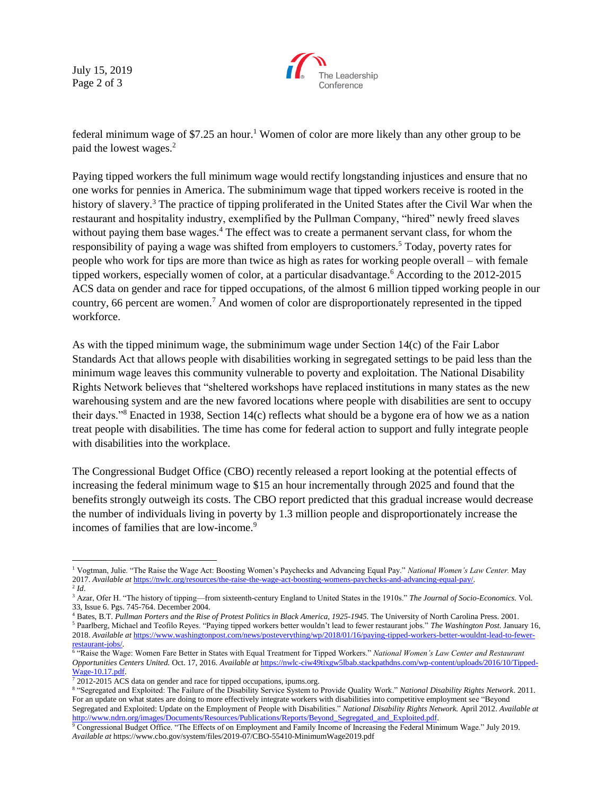July 15, 2019 Page 2 of 3



federal minimum wage of  $$7.25$  an hour.<sup>1</sup> Women of color are more likely than any other group to be paid the lowest wages.<sup>2</sup>

Paying tipped workers the full minimum wage would rectify longstanding injustices and ensure that no one works for pennies in America. The subminimum wage that tipped workers receive is rooted in the history of slavery.<sup>3</sup> The practice of tipping proliferated in the United States after the Civil War when the restaurant and hospitality industry, exemplified by the Pullman Company, "hired" newly freed slaves without paying them base wages.<sup>4</sup> The effect was to create a permanent servant class, for whom the responsibility of paying a wage was shifted from employers to customers.<sup>5</sup> Today, poverty rates for people who work for tips are more than twice as high as rates for working people overall – with female tipped workers, especially women of color, at a particular disadvantage.<sup>6</sup> According to the 2012-2015 ACS data on gender and race for tipped occupations, of the almost 6 million tipped working people in our country, 66 percent are women.<sup>7</sup> And women of color are disproportionately represented in the tipped workforce.

As with the tipped minimum wage, the subminimum wage under Section 14(c) of the Fair Labor Standards Act that allows people with disabilities working in segregated settings to be paid less than the minimum wage leaves this community vulnerable to poverty and exploitation. The National Disability Rights Network believes that "sheltered workshops have replaced institutions in many states as the new warehousing system and are the new favored locations where people with disabilities are sent to occupy their days."<sup>8</sup> Enacted in 1938, Section 14(c) reflects what should be a bygone era of how we as a nation treat people with disabilities. The time has come for federal action to support and fully integrate people with disabilities into the workplace.

The Congressional Budget Office (CBO) recently released a report looking at the potential effects of increasing the federal minimum wage to \$15 an hour incrementally through 2025 and found that the benefits strongly outweigh its costs. The CBO report predicted that this gradual increase would decrease the number of individuals living in poverty by 1.3 million people and disproportionately increase the incomes of families that are low-income.<sup>9</sup>

 $\overline{\phantom{a}}$ 

<sup>1</sup> Vogtman, Julie. "The Raise the Wage Act: Boosting Women's Paychecks and Advancing Equal Pay." *National Women's Law Center.* May 2017. *Available at* [https://nwlc.org/resources/the-raise-the-wage-act-boosting-womens-paychecks-and-advancing-equal-pay/.](https://nwlc.org/resources/the-raise-the-wage-act-boosting-womens-paychecks-and-advancing-equal-pay/)

<sup>2</sup> *Id*.

<sup>&</sup>lt;sup>3</sup> Azar, Ofer H. "The history of tipping—from sixteenth-century England to United States in the 1910s." The Journal of Socio-Economics. Vol. 33, Issue 6. Pgs. 745-764. December 2004.

<sup>4</sup> Bates, B.T. *Pullman Porters and the Rise of Protest Politics in Black America, 1925-1945*. The University of North Carolina Press. 2001.

<sup>5</sup> Paarlberg, Michael and Teofilo Reyes. "Paying tipped workers better wouldn't lead to fewer restaurant jobs." *The Washington Post.* January 16, 2018. *Available at* [https://www.washingtonpost.com/news/posteverything/wp/2018/01/16/paying-tipped-workers-better-wouldnt-lead-to-fewer](https://www.washingtonpost.com/news/posteverything/wp/2018/01/16/paying-tipped-workers-better-wouldnt-lead-to-fewer-restaurant-jobs/)[restaurant-jobs/.](https://www.washingtonpost.com/news/posteverything/wp/2018/01/16/paying-tipped-workers-better-wouldnt-lead-to-fewer-restaurant-jobs/)

<sup>&</sup>lt;sup>6</sup> "Raise the Wage: Women Fare Better in States with Equal Treatment for Tipped Workers." *National Women's Law Center and Restaurant Opportunities Centers United.* Oct. 17, 2016. *Available at* [https://nwlc-ciw49tixgw5lbab.stackpathdns.com/wp-content/uploads/2016/10/Tipped-](https://nwlc-ciw49tixgw5lbab.stackpathdns.com/wp-content/uploads/2016/10/Tipped-Wage-10.17.pdf)[Wage-10.17.pdf.](https://nwlc-ciw49tixgw5lbab.stackpathdns.com/wp-content/uploads/2016/10/Tipped-Wage-10.17.pdf)

 $72012$ -2015 ACS data on gender and race for tipped occupations, ipums.org.

<sup>8</sup> "Segregated and Exploited: The Failure of the Disability Service System to Provide Quality Work." *National Disability Rights Network*. 2011. For an update on what states are doing to more effectively integrate workers with disabilities into competitive employment see "Beyond Segregated and Exploited: Update on the Employment of People with Disabilities." *National Disability Rights Network.* April 2012. *Available at*  [http://www.ndrn.org/images/Documents/Resources/Publications/Reports/Beyond\\_Segregated\\_and\\_Exploited.pdf.](http://www.ndrn.org/images/Documents/Resources/Publications/Reports/Beyond_Segregated_and_Exploited.pdf) 

<sup>9</sup> Congressional Budget Office. "The Effects of on Employment and Family Income of Increasing the Federal Minimum Wage." July 2019. *Available at* https://www.cbo.gov/system/files/2019-07/CBO-55410-MinimumWage2019.pdf